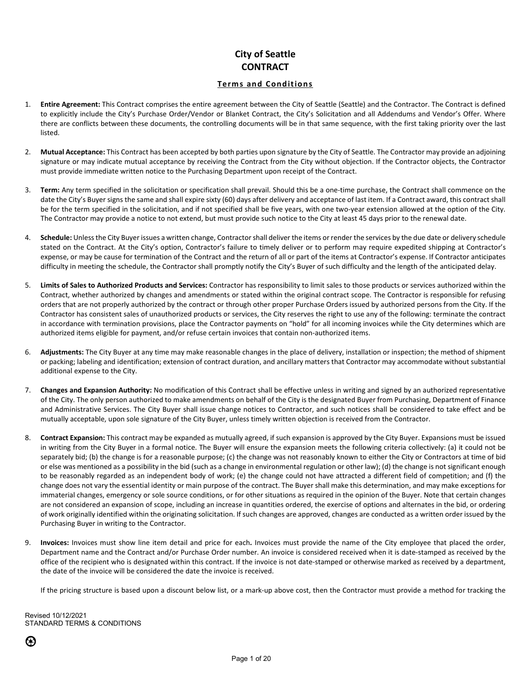# **City of Seattle CONTRACT**

# **Terms and Conditions**

- 1. **Entire Agreement:** This Contract comprises the entire agreement between the City of Seattle (Seattle) and the Contractor. The Contract is defined to explicitly include the City's Purchase Order/Vendor or Blanket Contract, the City's Solicitation and all Addendums and Vendor's Offer. Where there are conflicts between these documents, the controlling documents will be in that same sequence, with the first taking priority over the last listed.
- 2. **Mutual Acceptance:** This Contract has been accepted by both parties upon signature by the City of Seattle. The Contractor may provide an adjoining signature or may indicate mutual acceptance by receiving the Contract from the City without objection. If the Contractor objects, the Contractor must provide immediate written notice to the Purchasing Department upon receipt of the Contract.
- 3. **Term:** Any term specified in the solicitation or specification shall prevail. Should this be a one-time purchase, the Contract shall commence on the date the City's Buyer signs the same and shall expire sixty (60) days after delivery and acceptance of last item. If a Contract award, this contract shall be for the term specified in the solicitation, and if not specified shall be five years, with one two-year extension allowed at the option of the City. The Contractor may provide a notice to not extend, but must provide such notice to the City at least 45 days prior to the renewal date.
- 4. **Schedule:** Unless the City Buyer issues a written change, Contractor shall deliver the items or render the services by the due date or delivery schedule stated on the Contract. At the City's option, Contractor's failure to timely deliver or to perform may require expedited shipping at Contractor's expense, or may be cause for termination of the Contract and the return of all or part of the items at Contractor's expense. If Contractor anticipates difficulty in meeting the schedule, the Contractor shall promptly notify the City's Buyer of such difficulty and the length of the anticipated delay.
- 5. **Limits of Sales to Authorized Products and Services:** Contractor has responsibility to limit sales to those products or services authorized within the Contract, whether authorized by changes and amendments or stated within the original contract scope. The Contractor is responsible for refusing orders that are not properly authorized by the contract or through other proper Purchase Orders issued by authorized persons from the City. If the Contractor has consistent sales of unauthorized products or services, the City reserves the right to use any of the following: terminate the contract in accordance with termination provisions, place the Contractor payments on "hold" for all incoming invoices while the City determines which are authorized items eligible for payment, and/or refuse certain invoices that contain non-authorized items.
- 6. **Adjustments:** The City Buyer at any time may make reasonable changes in the place of delivery, installation or inspection; the method of shipment or packing; labeling and identification; extension of contract duration, and ancillary matters that Contractor may accommodate without substantial additional expense to the City.
- 7. **Changes and Expansion Authority:** No modification of this Contract shall be effective unless in writing and signed by an authorized representative of the City. The only person authorized to make amendments on behalf of the City is the designated Buyer from Purchasing, Department of Finance and Administrative Services. The City Buyer shall issue change notices to Contractor, and such notices shall be considered to take effect and be mutually acceptable, upon sole signature of the City Buyer, unless timely written objection is received from the Contractor.
- 8. **Contract Expansion:** This contract may be expanded as mutually agreed, if such expansion is approved by the City Buyer. Expansions must be issued in writing from the City Buyer in a formal notice. The Buyer will ensure the expansion meets the following criteria collectively: (a) it could not be separately bid; (b) the change is for a reasonable purpose; (c) the change was not reasonably known to either the City or Contractors at time of bid or else was mentioned as a possibility in the bid (such as a change in environmental regulation or other law); (d) the change is not significant enough to be reasonably regarded as an independent body of work; (e) the change could not have attracted a different field of competition; and (f) the change does not vary the essential identity or main purpose of the contract. The Buyer shall make this determination, and may make exceptions for immaterial changes, emergency or sole source conditions, or for other situations as required in the opinion of the Buyer. Note that certain changes are not considered an expansion of scope, including an increase in quantities ordered, the exercise of options and alternates in the bid, or ordering of work originally identified within the originating solicitation. If such changes are approved, changes are conducted as a written order issued by the Purchasing Buyer in writing to the Contractor.
- 9. **Invoices:** Invoices must show line item detail and price for each**.** Invoices must provide the name of the City employee that placed the order, Department name and the Contract and/or Purchase Order number. An invoice is considered received when it is date-stamped as received by the office of the recipient who is designated within this contract. If the invoice is not date-stamped or otherwise marked as received by a department, the date of the invoice will be considered the date the invoice is received.

If the pricing structure is based upon a discount below list, or a mark-up above cost, then the Contractor must provide a method for tracking the

Revised 10/12/2021 STANDARD TERMS & CONDITIONS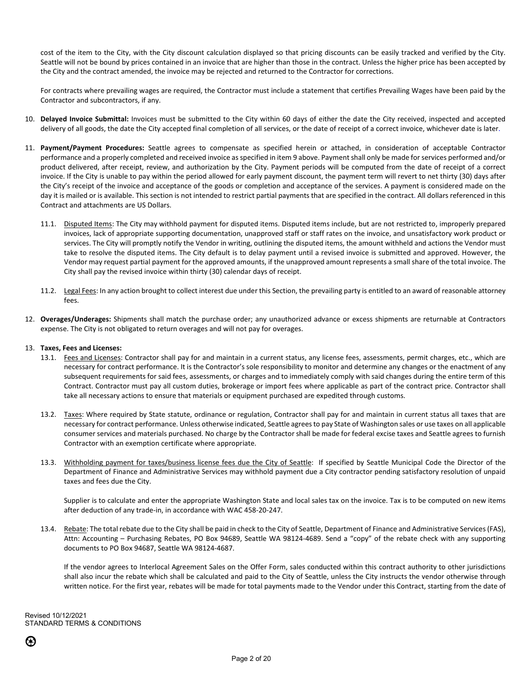cost of the item to the City, with the City discount calculation displayed so that pricing discounts can be easily tracked and verified by the City. Seattle will not be bound by prices contained in an invoice that are higher than those in the contract. Unless the higher price has been accepted by the City and the contract amended, the invoice may be rejected and returned to the Contractor for corrections.

For contracts where prevailing wages are required, the Contractor must include a statement that certifies Prevailing Wages have been paid by the Contractor and subcontractors, if any.

- 10. **Delayed Invoice Submittal:** Invoices must be submitted to the City within 60 days of either the date the City received, inspected and accepted delivery of all goods, the date the City accepted final completion of all services, or the date of receipt of a correct invoice, whichever date is later.
- 11. **Payment/Payment Procedures:** Seattle agrees to compensate as specified herein or attached, in consideration of acceptable Contractor performance and a properly completed and received invoice as specified in item 9 above. Payment shall only be made for services performed and/or product delivered, after receipt, review, and authorization by the City. Payment periods will be computed from the date of receipt of a correct invoice. If the City is unable to pay within the period allowed for early payment discount, the payment term will revert to net thirty (30) days after the City's receipt of the invoice and acceptance of the goods or completion and acceptance of the services. A payment is considered made on the day it is mailed or is available. This section is not intended to restrict partial payments that are specified in the contract. All dollars referenced in this Contract and attachments are US Dollars.
	- 11.1. Disputed Items: The City may withhold payment for disputed items. Disputed items include, but are not restricted to, improperly prepared invoices, lack of appropriate supporting documentation, unapproved staff or staff rates on the invoice, and unsatisfactory work product or services. The City will promptly notify the Vendor in writing, outlining the disputed items, the amount withheld and actions the Vendor must take to resolve the disputed items. The City default is to delay payment until a revised invoice is submitted and approved. However, the Vendor may request partial payment for the approved amounts, if the unapproved amount represents a small share of the total invoice. The City shall pay the revised invoice within thirty (30) calendar days of receipt.
	- 11.2. Legal Fees: In any action brought to collect interest due under this Section, the prevailing party is entitled to an award of reasonable attorney fees.
- 12. **Overages/Underages:** Shipments shall match the purchase order; any unauthorized advance or excess shipments are returnable at Contractors expense. The City is not obligated to return overages and will not pay for overages.

#### 13. **Taxes, Fees and Licenses:**

- 13.1. Fees and Licenses: Contractor shall pay for and maintain in a current status, any license fees, assessments, permit charges, etc., which are necessary for contract performance. It is the Contractor's sole responsibility to monitor and determine any changes or the enactment of any subsequent requirements for said fees, assessments, or charges and to immediately comply with said changes during the entire term of this Contract. Contractor must pay all custom duties, brokerage or import fees where applicable as part of the contract price. Contractor shall take all necessary actions to ensure that materials or equipment purchased are expedited through customs.
- 13.2. Taxes: Where required by State statute, ordinance or regulation, Contractor shall pay for and maintain in current status all taxes that are necessary for contract performance. Unless otherwise indicated, Seattle agrees to pay State of Washington sales or use taxes on all applicable consumer services and materials purchased. No charge by the Contractor shall be made for federal excise taxes and Seattle agrees to furnish Contractor with an exemption certificate where appropriate.
- 13.3. Withholding payment for taxes/business license fees due the City of Seattle: If specified by Seattle Municipal Code the Director of the Department of Finance and Administrative Services may withhold payment due a City contractor pending satisfactory resolution of unpaid taxes and fees due the City.

Supplier is to calculate and enter the appropriate Washington State and local sales tax on the invoice. Tax is to be computed on new items after deduction of any trade-in, in accordance with WAC 458-20-247.

13.4. Rebate: The total rebate due to the City shall be paid in check to the City of Seattle, Department of Finance and Administrative Services (FAS), Attn: Accounting – Purchasing Rebates, PO Box 94689, Seattle WA 98124-4689. Send a "copy" of the rebate check with any supporting documents to PO Box 94687, Seattle WA 98124-4687.

If the vendor agrees to Interlocal Agreement Sales on the Offer Form, sales conducted within this contract authority to other jurisdictions shall also incur the rebate which shall be calculated and paid to the City of Seattle, unless the City instructs the vendor otherwise through written notice. For the first year, rebates will be made for total payments made to the Vendor under this Contract, starting from the date of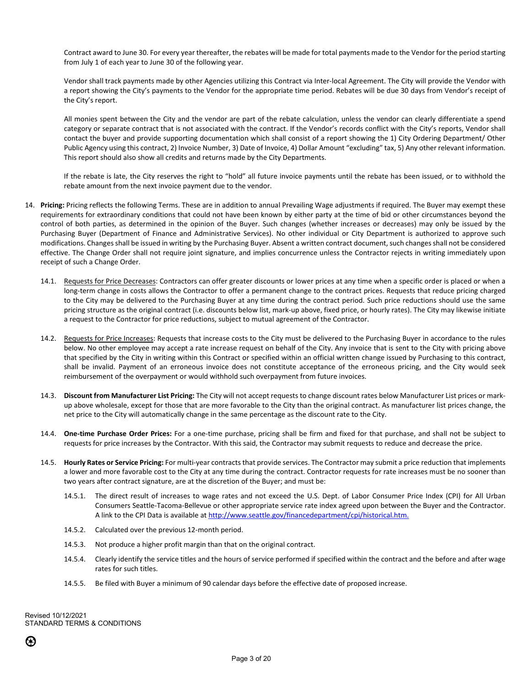Contract award to June 30. For every year thereafter, the rebates will be made for total payments made to the Vendor for the period starting from July 1 of each year to June 30 of the following year.

Vendor shall track payments made by other Agencies utilizing this Contract via Inter-local Agreement. The City will provide the Vendor with a report showing the City's payments to the Vendor for the appropriate time period. Rebates will be due 30 days from Vendor's receipt of the City's report.

All monies spent between the City and the vendor are part of the rebate calculation, unless the vendor can clearly differentiate a spend category or separate contract that is not associated with the contract. If the Vendor's records conflict with the City's reports, Vendor shall contact the buyer and provide supporting documentation which shall consist of a report showing the 1) City Ordering Department/ Other Public Agency using this contract, 2) Invoice Number, 3) Date of Invoice, 4) Dollar Amount "excluding" tax, 5) Any other relevant information. This report should also show all credits and returns made by the City Departments.

If the rebate is late, the City reserves the right to "hold" all future invoice payments until the rebate has been issued, or to withhold the rebate amount from the next invoice payment due to the vendor.

- 14. **Pricing:** Pricing reflects the following Terms. These are in addition to annual Prevailing Wage adjustments if required. The Buyer may exempt these requirements for extraordinary conditions that could not have been known by either party at the time of bid or other circumstances beyond the control of both parties, as determined in the opinion of the Buyer. Such changes (whether increases or decreases) may only be issued by the Purchasing Buyer (Department of Finance and Administrative Services). No other individual or City Department is authorized to approve such modifications. Changes shall be issued in writing by the Purchasing Buyer. Absent a written contract document, such changes shall not be considered effective. The Change Order shall not require joint signature, and implies concurrence unless the Contractor rejects in writing immediately upon receipt of such a Change Order.
	- 14.1. Requests for Price Decreases: Contractors can offer greater discounts or lower prices at any time when a specific order is placed or when a long-term change in costs allows the Contractor to offer a permanent change to the contract prices. Requests that reduce pricing charged to the City may be delivered to the Purchasing Buyer at any time during the contract period. Such price reductions should use the same pricing structure as the original contract (i.e. discounts below list, mark-up above, fixed price, or hourly rates). The City may likewise initiate a request to the Contractor for price reductions, subject to mutual agreement of the Contractor.
	- 14.2. Requests for Price Increases: Requests that increase costs to the City must be delivered to the Purchasing Buyer in accordance to the rules below. No other employee may accept a rate increase request on behalf of the City. Any invoice that is sent to the City with pricing above that specified by the City in writing within this Contract or specified within an official written change issued by Purchasing to this contract, shall be invalid. Payment of an erroneous invoice does not constitute acceptance of the erroneous pricing, and the City would seek reimbursement of the overpayment or would withhold such overpayment from future invoices.
	- 14.3. **Discount from Manufacturer List Pricing:** The City will not accept requests to change discount rates below Manufacturer List prices or markup above wholesale, except for those that are more favorable to the City than the original contract. As manufacturer list prices change, the net price to the City will automatically change in the same percentage as the discount rate to the City.
	- 14.4. **One-time Purchase Order Prices:** For a one-time purchase, pricing shall be firm and fixed for that purchase, and shall not be subject to requests for price increases by the Contractor. With this said, the Contractor may submit requests to reduce and decrease the price.
	- 14.5. **Hourly Rates or Service Pricing:** For multi-year contracts that provide services. The Contractor may submit a price reduction that implements a lower and more favorable cost to the City at any time during the contract. Contractor requests for rate increases must be no sooner than two years after contract signature, are at the discretion of the Buyer; and must be:
		- 14.5.1. The direct result of increases to wage rates and not exceed the U.S. Dept. of Labor Consumer Price Index (CPI) for All Urban Consumers Seattle-Tacoma-Bellevue or other appropriate service rate index agreed upon between the Buyer and the Contractor. A link to the CPI Data is available a[t http://www.seattle.gov/financedepartment/cpi/historical.htm.](http://www.seattle.gov/financedepartment/cpi/historical.htm)
		- 14.5.2. Calculated over the previous 12-month period.
		- 14.5.3. Not produce a higher profit margin than that on the original contract.
		- 14.5.4. Clearly identify the service titles and the hours of service performed if specified within the contract and the before and after wage rates for such titles.
		- 14.5.5. Be filed with Buyer a minimum of 90 calendar days before the effective date of proposed increase.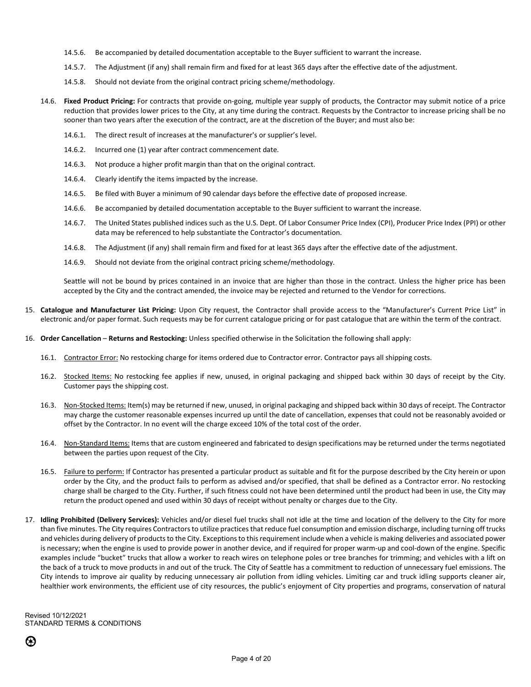- 14.5.6. Be accompanied by detailed documentation acceptable to the Buyer sufficient to warrant the increase.
- 14.5.7. The Adjustment (if any) shall remain firm and fixed for at least 365 days after the effective date of the adjustment.
- 14.5.8. Should not deviate from the original contract pricing scheme/methodology.
- 14.6. **Fixed Product Pricing:** For contracts that provide on-going, multiple year supply of products, the Contractor may submit notice of a price reduction that provides lower prices to the City, at any time during the contract. Requests by the Contractor to increase pricing shall be no sooner than two years after the execution of the contract, are at the discretion of the Buyer; and must also be:
	- 14.6.1. The direct result of increases at the manufacturer's or supplier's level.
	- 14.6.2. Incurred one (1) year after contract commencement date.
	- 14.6.3. Not produce a higher profit margin than that on the original contract.
	- 14.6.4. Clearly identify the items impacted by the increase.
	- 14.6.5. Be filed with Buyer a minimum of 90 calendar days before the effective date of proposed increase.
	- 14.6.6. Be accompanied by detailed documentation acceptable to the Buyer sufficient to warrant the increase.
	- 14.6.7. The United States published indices such as the U.S. Dept. Of Labor Consumer Price Index (CPI), Producer Price Index (PPI) or other data may be referenced to help substantiate the Contractor's documentation.
	- 14.6.8. The Adjustment (if any) shall remain firm and fixed for at least 365 days after the effective date of the adjustment.
	- 14.6.9. Should not deviate from the original contract pricing scheme/methodology.

Seattle will not be bound by prices contained in an invoice that are higher than those in the contract. Unless the higher price has been accepted by the City and the contract amended, the invoice may be rejected and returned to the Vendor for corrections.

- 15. **Catalogue and Manufacturer List Pricing:** Upon City request, the Contractor shall provide access to the "Manufacturer's Current Price List" in electronic and/or paper format. Such requests may be for current catalogue pricing or for past catalogue that are within the term of the contract.
- 16. **Order Cancellation Returns and Restocking:** Unless specified otherwise in the Solicitation the following shall apply:
	- 16.1. Contractor Error: No restocking charge for items ordered due to Contractor error. Contractor pays all shipping costs.
	- 16.2. Stocked Items: No restocking fee applies if new, unused, in original packaging and shipped back within 30 days of receipt by the City. Customer pays the shipping cost.
	- 16.3. Non-Stocked Items: Item(s) may be returned if new, unused, in original packaging and shipped back within 30 days of receipt. The Contractor may charge the customer reasonable expenses incurred up until the date of cancellation, expenses that could not be reasonably avoided or offset by the Contractor. In no event will the charge exceed 10% of the total cost of the order.
	- 16.4. Non-Standard Items: Items that are custom engineered and fabricated to design specifications may be returned under the terms negotiated between the parties upon request of the City.
	- 16.5. Failure to perform: If Contractor has presented a particular product as suitable and fit for the purpose described by the City herein or upon order by the City, and the product fails to perform as advised and/or specified, that shall be defined as a Contractor error. No restocking charge shall be charged to the City. Further, if such fitness could not have been determined until the product had been in use, the City may return the product opened and used within 30 days of receipt without penalty or charges due to the City.
- 17. **Idling Prohibited (Delivery Services):** Vehicles and/or diesel fuel trucks shall not idle at the time and location of the delivery to the City for more than five minutes. The City requires Contractors to utilize practices that reduce fuel consumption and emission discharge, including turning off trucks and vehicles during delivery of products to the City. Exceptions to this requirement include when a vehicle is making deliveries and associated power is necessary; when the engine is used to provide power in another device, and if required for proper warm-up and cool-down of the engine. Specific examples include "bucket" trucks that allow a worker to reach wires on telephone poles or tree branches for trimming; and vehicles with a lift on the back of a truck to move products in and out of the truck. The City of Seattle has a commitment to reduction of unnecessary fuel emissions. The City intends to improve air quality by reducing unnecessary air pollution from idling vehicles. Limiting car and truck idling supports cleaner air, healthier work environments, the efficient use of city resources, the public's enjoyment of City properties and programs, conservation of natural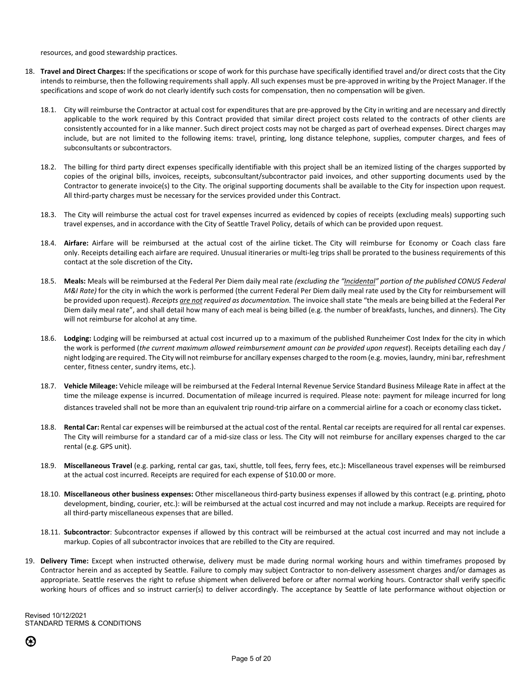resources, and good stewardship practices.

- 18. **Travel and Direct Charges:** If the specifications or scope of work for this purchase have specifically identified travel and/or direct costs that the City intends to reimburse, then the following requirements shall apply. All such expenses must be pre-approved in writing by the Project Manager. If the specifications and scope of work do not clearly identify such costs for compensation, then no compensation will be given.
	- 18.1. City will reimburse the Contractor at actual cost for expenditures that are pre-approved by the City in writing and are necessary and directly applicable to the work required by this Contract provided that similar direct project costs related to the contracts of other clients are consistently accounted for in a like manner. Such direct project costs may not be charged as part of overhead expenses. Direct charges may include, but are not limited to the following items: travel, printing, long distance telephone, supplies, computer charges, and fees of subconsultants or subcontractors.
	- 18.2. The billing for third party direct expenses specifically identifiable with this project shall be an itemized listing of the charges supported by copies of the original bills, invoices, receipts, subconsultant/subcontractor paid invoices, and other supporting documents used by the Contractor to generate invoice(s) to the City. The original supporting documents shall be available to the City for inspection upon request. All third-party charges must be necessary for the services provided under this Contract.
	- 18.3. The City will reimburse the actual cost for travel expenses incurred as evidenced by copies of receipts (excluding meals) supporting such travel expenses, and in accordance with the City of Seattle Travel Policy, details of which can be provided upon request.
	- 18.4. **Airfare:** Airfare will be reimbursed at the actual cost of the airline ticket. The City will reimburse for Economy or Coach class fare only. Receipts detailing each airfare are required. Unusual itineraries or multi-leg trips shall be prorated to the business requirements of this contact at the sole discretion of the City**.**
	- 18.5. **Meals:** Meals will be reimbursed at the Federal Per Diem daily meal rate *(excluding the "Incidental" portion of the published CONUS Federal M&I Rate)* for the city in which the work is performed (the current Federal Per Diem daily meal rate used by the City for reimbursement will be provided upon request). *Receipts are not required as documentation.* The invoice shall state "the meals are being billed at the Federal Per Diem daily meal rate", and shall detail how many of each meal is being billed (e.g. the number of breakfasts, lunches, and dinners). The City will not reimburse for alcohol at any time.
	- 18.6. **Lodging:** Lodging will be reimbursed at actual cost incurred up to a maximum of the published Runzheimer Cost Index for the city in which the work is performed (*the current maximum allowed reimbursement amount can be provided upon request*). Receipts detailing each day / night lodging are required. The City will not reimburse for ancillary expenses charged to the room (e.g. movies, laundry, mini bar, refreshment center, fitness center, sundry items, etc.).
	- 18.7. **Vehicle Mileage:** Vehicle mileage will be reimbursed at the Federal Internal Revenue Service Standard Business Mileage Rate in affect at the time the mileage expense is incurred. Documentation of mileage incurred is required. Please note: payment for mileage incurred for long distances traveled shall not be more than an equivalent trip round-trip airfare on a commercial airline for a coach or economy class ticket.
	- 18.8. **Rental Car:** Rental car expenses will be reimbursed at the actual cost of the rental. Rental car receipts are required for all rental car expenses. The City will reimburse for a standard car of a mid-size class or less. The City will not reimburse for ancillary expenses charged to the car rental (e.g. GPS unit).
	- 18.9. **Miscellaneous Travel** (e.g. parking, rental car gas, taxi, shuttle, toll fees, ferry fees, etc.)**:** Miscellaneous travel expenses will be reimbursed at the actual cost incurred. Receipts are required for each expense of \$10.00 or more.
	- 18.10. **Miscellaneous other business expenses:** Other miscellaneous third-party business expenses if allowed by this contract (e.g. printing, photo development, binding, courier, etc.): will be reimbursed at the actual cost incurred and may not include a markup. Receipts are required for all third-party miscellaneous expenses that are billed.
	- 18.11. **Subcontractor**: Subcontractor expenses if allowed by this contract will be reimbursed at the actual cost incurred and may not include a markup. Copies of all subcontractor invoices that are rebilled to the City are required.
- 19. **Delivery Time:** Except when instructed otherwise, delivery must be made during normal working hours and within timeframes proposed by Contractor herein and as accepted by Seattle. Failure to comply may subject Contractor to non-delivery assessment charges and/or damages as appropriate. Seattle reserves the right to refuse shipment when delivered before or after normal working hours. Contractor shall verify specific working hours of offices and so instruct carrier(s) to deliver accordingly. The acceptance by Seattle of late performance without objection or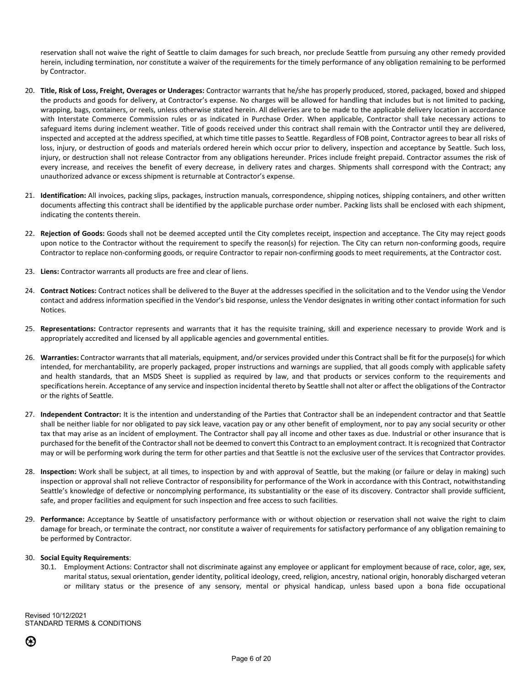reservation shall not waive the right of Seattle to claim damages for such breach, nor preclude Seattle from pursuing any other remedy provided herein, including termination, nor constitute a waiver of the requirements for the timely performance of any obligation remaining to be performed by Contractor.

- 20. **Title, Risk of Loss, Freight, Overages or Underages:** Contractor warrants that he/she has properly produced, stored, packaged, boxed and shipped the products and goods for delivery, at Contractor's expense. No charges will be allowed for handling that includes but is not limited to packing, wrapping, bags, containers, or reels, unless otherwise stated herein. All deliveries are to be made to the applicable delivery location in accordance with Interstate Commerce Commission rules or as indicated in Purchase Order. When applicable, Contractor shall take necessary actions to safeguard items during inclement weather. Title of goods received under this contract shall remain with the Contractor until they are delivered, inspected and accepted at the address specified, at which time title passes to Seattle. Regardless of FOB point, Contractor agrees to bear all risks of loss, injury, or destruction of goods and materials ordered herein which occur prior to delivery, inspection and acceptance by Seattle. Such loss, injury, or destruction shall not release Contractor from any obligations hereunder. Prices include freight prepaid. Contractor assumes the risk of every increase, and receives the benefit of every decrease, in delivery rates and charges. Shipments shall correspond with the Contract; any unauthorized advance or excess shipment is returnable at Contractor's expense.
- 21. **Identification:** All invoices, packing slips, packages, instruction manuals, correspondence, shipping notices, shipping containers, and other written documents affecting this contract shall be identified by the applicable purchase order number. Packing lists shall be enclosed with each shipment, indicating the contents therein.
- 22. **Rejection of Goods:** Goods shall not be deemed accepted until the City completes receipt, inspection and acceptance. The City may reject goods upon notice to the Contractor without the requirement to specify the reason(s) for rejection. The City can return non-conforming goods, require Contractor to replace non-conforming goods, or require Contractor to repair non-confirming goods to meet requirements, at the Contractor cost.
- 23. **Liens:** Contractor warrants all products are free and clear of liens.
- 24. **Contract Notices:** Contract notices shall be delivered to the Buyer at the addresses specified in the solicitation and to the Vendor using the Vendor contact and address information specified in the Vendor's bid response, unless the Vendor designates in writing other contact information for such Notices.
- 25. **Representations:** Contractor represents and warrants that it has the requisite training, skill and experience necessary to provide Work and is appropriately accredited and licensed by all applicable agencies and governmental entities.
- 26. **Warranties:** Contractor warrants that all materials, equipment, and/or services provided under this Contract shall be fit for the purpose(s) for which intended, for merchantability, are properly packaged, proper instructions and warnings are supplied, that all goods comply with applicable safety and health standards, that an MSDS Sheet is supplied as required by law, and that products or services conform to the requirements and specifications herein. Acceptance of any service and inspection incidental thereto by Seattle shall not alter or affect the obligations of the Contractor or the rights of Seattle.
- 27. **Independent Contractor:** It is the intention and understanding of the Parties that Contractor shall be an independent contractor and that Seattle shall be neither liable for nor obligated to pay sick leave, vacation pay or any other benefit of employment, nor to pay any social security or other tax that may arise as an incident of employment. The Contractor shall pay all income and other taxes as due. Industrial or other insurance that is purchased for the benefit of the Contractor shall not be deemed to convert this Contract to an employment contract. It is recognized that Contractor may or will be performing work during the term for other parties and that Seattle is not the exclusive user of the services that Contractor provides.
- 28. **Inspection:** Work shall be subject, at all times, to inspection by and with approval of Seattle, but the making (or failure or delay in making) such inspection or approval shall not relieve Contractor of responsibility for performance of the Work in accordance with this Contract, notwithstanding Seattle's knowledge of defective or noncomplying performance, its substantiality or the ease of its discovery. Contractor shall provide sufficient, safe, and proper facilities and equipment for such inspection and free access to such facilities.
- 29. **Performance:** Acceptance by Seattle of unsatisfactory performance with or without objection or reservation shall not waive the right to claim damage for breach, or terminate the contract, nor constitute a waiver of requirements for satisfactory performance of any obligation remaining to be performed by Contractor.

# 30. **Social Equity Requirements**:

30.1. Employment Actions: Contractor shall not discriminate against any employee or applicant for employment because of race, color, age, sex, marital status, sexual orientation, gender identity, political ideology, creed, religion, ancestry, national origin, honorably discharged veteran or military status or the presence of any sensory, mental or physical handicap, unless based upon a bona fide occupational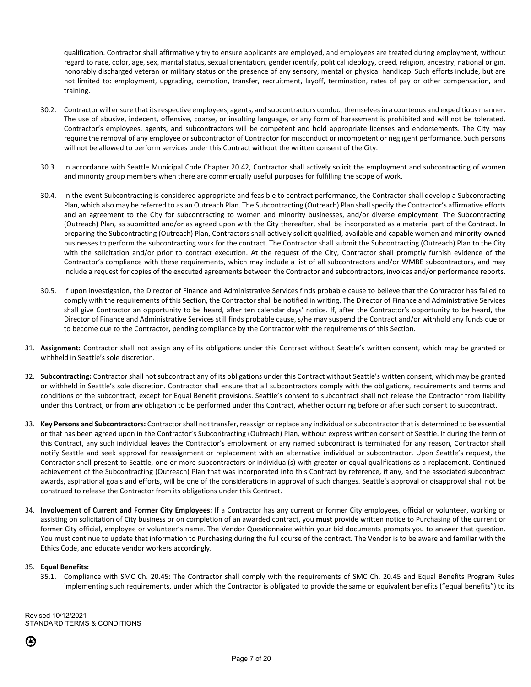qualification. Contractor shall affirmatively try to ensure applicants are employed, and employees are treated during employment, without regard to race, color, age, sex, marital status, sexual orientation, gender identify, political ideology, creed, religion, ancestry, national origin, honorably discharged veteran or military status or the presence of any sensory, mental or physical handicap. Such efforts include, but are not limited to: employment, upgrading, demotion, transfer, recruitment, layoff, termination, rates of pay or other compensation, and training.

- 30.2. Contractor will ensure that itsrespective employees, agents, and subcontractors conduct themselves in a courteous and expeditious manner. The use of abusive, indecent, offensive, coarse, or insulting language, or any form of harassment is prohibited and will not be tolerated. Contractor's employees, agents, and subcontractors will be competent and hold appropriate licenses and endorsements. The City may require the removal of any employee or subcontractor of Contractor for misconduct or incompetent or negligent performance. Such persons will not be allowed to perform services under this Contract without the written consent of the City.
- 30.3. In accordance with Seattle Municipal Code Chapter 20.42, Contractor shall actively solicit the employment and subcontracting of women and minority group members when there are commercially useful purposes for fulfilling the scope of work.
- 30.4. In the event Subcontracting is considered appropriate and feasible to contract performance, the Contractor shall develop a Subcontracting Plan, which also may be referred to as an Outreach Plan. The Subcontracting (Outreach) Plan shall specify the Contractor's affirmative efforts and an agreement to the City for subcontracting to women and minority businesses, and/or diverse employment. The Subcontracting (Outreach) Plan, as submitted and/or as agreed upon with the City thereafter, shall be incorporated as a material part of the Contract. In preparing the Subcontracting (Outreach) Plan, Contractors shall actively solicit qualified, available and capable women and minority-owned businesses to perform the subcontracting work for the contract. The Contractor shall submit the Subcontracting (Outreach) Plan to the City with the solicitation and/or prior to contract execution. At the request of the City, Contractor shall promptly furnish evidence of the Contractor's compliance with these requirements, which may include a list of all subcontractors and/or WMBE subcontractors, and may include a request for copies of the executed agreements between the Contractor and subcontractors, invoices and/or performance reports.
- 30.5. If upon investigation, the Director of Finance and Administrative Services finds probable cause to believe that the Contractor has failed to comply with the requirements of this Section, the Contractor shall be notified in writing. The Director of Finance and Administrative Services shall give Contractor an opportunity to be heard, after ten calendar days' notice. If, after the Contractor's opportunity to be heard, the Director of Finance and Administrative Services still finds probable cause, s/he may suspend the Contract and/or withhold any funds due or to become due to the Contractor, pending compliance by the Contractor with the requirements of this Section.
- 31. **Assignment:** Contractor shall not assign any of its obligations under this Contract without Seattle's written consent, which may be granted or withheld in Seattle's sole discretion.
- 32. **Subcontracting:** Contractor shall not subcontract any of its obligations under this Contract without Seattle's written consent, which may be granted or withheld in Seattle's sole discretion. Contractor shall ensure that all subcontractors comply with the obligations, requirements and terms and conditions of the subcontract, except for Equal Benefit provisions. Seattle's consent to subcontract shall not release the Contractor from liability under this Contract, or from any obligation to be performed under this Contract, whether occurring before or after such consent to subcontract.
- 33. **Key Persons and Subcontractors:** Contractor shall not transfer, reassign or replace any individual or subcontractor that is determined to be essential or that has been agreed upon in the Contractor's Subcontracting (Outreach) Plan, without express written consent of Seattle. If during the term of this Contract, any such individual leaves the Contractor's employment or any named subcontract is terminated for any reason, Contractor shall notify Seattle and seek approval for reassignment or replacement with an alternative individual or subcontractor. Upon Seattle's request, the Contractor shall present to Seattle, one or more subcontractors or individual(s) with greater or equal qualifications as a replacement. Continued achievement of the Subcontracting (Outreach) Plan that was incorporated into this Contract by reference, if any, and the associated subcontract awards, aspirational goals and efforts, will be one of the considerations in approval of such changes. Seattle's approval or disapproval shall not be construed to release the Contractor from its obligations under this Contract.
- 34. **Involvement of Current and Former City Employees:** If a Contractor has any current or former City employees, official or volunteer, working or assisting on solicitation of City business or on completion of an awarded contract, you **must** provide written notice to Purchasing of the current or former City official, employee or volunteer's name. The Vendor Questionnaire within your bid documents prompts you to answer that question. You must continue to update that information to Purchasing during the full course of the contract. The Vendor is to be aware and familiar with the Ethics Code, and educate vendor workers accordingly.

#### 35. **Equal Benefits:**

35.1. Compliance with SMC Ch. 20.45: The Contractor shall comply with the requirements of SMC Ch. 20.45 and Equal Benefits Program Rules implementing such requirements, under which the Contractor is obligated to provide the same or equivalent benefits ("equal benefits") to its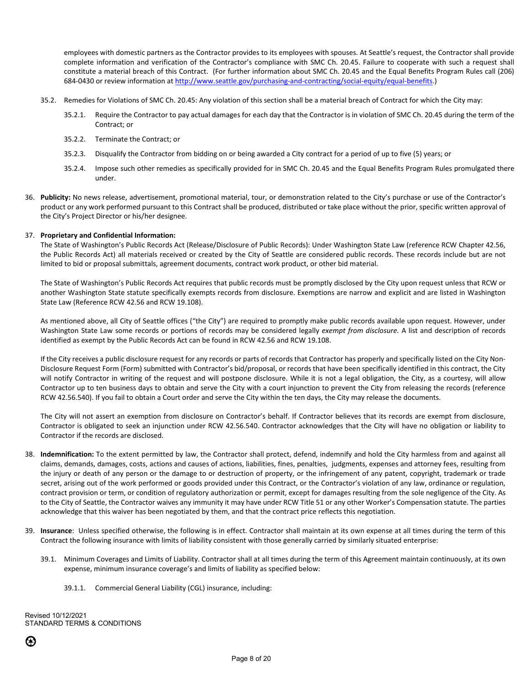employees with domestic partners as the Contractor provides to its employees with spouses. At Seattle's request, the Contractor shall provide complete information and verification of the Contractor's compliance with SMC Ch. 20.45. Failure to cooperate with such a request shall constitute a material breach of this Contract. (For further information about SMC Ch. 20.45 and the Equal Benefits Program Rules call (206) 684-0430 or review information at [http://www.seattle.gov/purchasing-and-contracting/social-equity/equal-benefits.](http://www.seattle.gov/purchasing-and-contracting/social-equity/equal-benefits))

- 35.2. Remedies for Violations of SMC Ch. 20.45: Any violation of this section shall be a material breach of Contract for which the City may:
	- 35.2.1. Require the Contractor to pay actual damages for each day that the Contractor is in violation of SMC Ch. 20.45 during the term of the Contract; or
	- 35.2.2. Terminate the Contract; or
	- 35.2.3. Disqualify the Contractor from bidding on or being awarded a City contract for a period of up to five (5) years; or
	- 35.2.4. Impose such other remedies as specifically provided for in SMC Ch. 20.45 and the Equal Benefits Program Rules promulgated there under.
- 36. **Publicity:** No news release, advertisement, promotional material, tour, or demonstration related to the City's purchase or use of the Contractor's product or any work performed pursuant to this Contract shall be produced, distributed or take place without the prior, specific written approval of the City's Project Director or his/her designee.

## 37. **Proprietary and Confidential Information:**

The State of Washington's Public Records Act (Release/Disclosure of Public Records): Under Washington State Law (reference RCW Chapter 42.56, the Public Records Act) all materials received or created by the City of Seattle are considered public records. These records include but are not limited to bid or proposal submittals, agreement documents, contract work product, or other bid material.

The State of Washington's Public Records Act requires that public records must be promptly disclosed by the City upon request unless that RCW or another Washington State statute specifically exempts records from disclosure. Exemptions are narrow and explicit and are listed in Washington State Law (Reference RCW 42.56 and RCW 19.108).

As mentioned above, all City of Seattle offices ("the City") are required to promptly make public records available upon request. However, under Washington State Law some records or portions of records may be considered legally *exempt from disclosure.* A list and description of records identified as exempt by the Public Records Act can be found in RCW 42.56 and RCW 19.108.

If the City receives a public disclosure request for any records or parts of records that Contractor has properly and specifically listed on the City Non-Disclosure Request Form (Form) submitted with Contractor's bid/proposal, or records that have been specifically identified in this contract, the City will notify Contractor in writing of the request and will postpone disclosure. While it is not a legal obligation, the City, as a courtesy, will allow Contractor up to ten business days to obtain and serve the City with a court injunction to prevent the City from releasing the records (reference RCW 42.56.540). If you fail to obtain a Court order and serve the City within the ten days, the City may release the documents.

The City will not assert an exemption from disclosure on Contractor's behalf. If Contractor believes that its records are exempt from disclosure, Contractor is obligated to seek an injunction under RCW 42.56.540. Contractor acknowledges that the City will have no obligation or liability to Contractor if the records are disclosed.

- 38. **Indemnification:** To the extent permitted by law, the Contractor shall protect, defend, indemnify and hold the City harmless from and against all claims, demands, damages, costs, actions and causes of actions, liabilities, fines, penalties, judgments, expenses and attorney fees, resulting from the injury or death of any person or the damage to or destruction of property, or the infringement of any patent, copyright, trademark or trade secret, arising out of the work performed or goods provided under this Contract, or the Contractor's violation of any law, ordinance or regulation, contract provision or term, or condition of regulatory authorization or permit, except for damages resulting from the sole negligence of the City. As to the City of Seattle, the Contractor waives any immunity it may have under RCW Title 51 or any other Worker's Compensation statute. The parties acknowledge that this waiver has been negotiated by them, and that the contract price reflects this negotiation.
- 39. **Insurance**: Unless specified otherwise, the following is in effect. Contractor shall maintain at its own expense at all times during the term of this Contract the following insurance with limits of liability consistent with those generally carried by similarly situated enterprise:
	- 39.1. Minimum Coverages and Limits of Liability. Contractor shall at all times during the term of this Agreement maintain continuously, at its own expense, minimum insurance coverage's and limits of liability as specified below:
		- 39.1.1. Commercial General Liability (CGL) insurance, including:

Revised 10/12/2021 STANDARD TERMS & CONDITIONS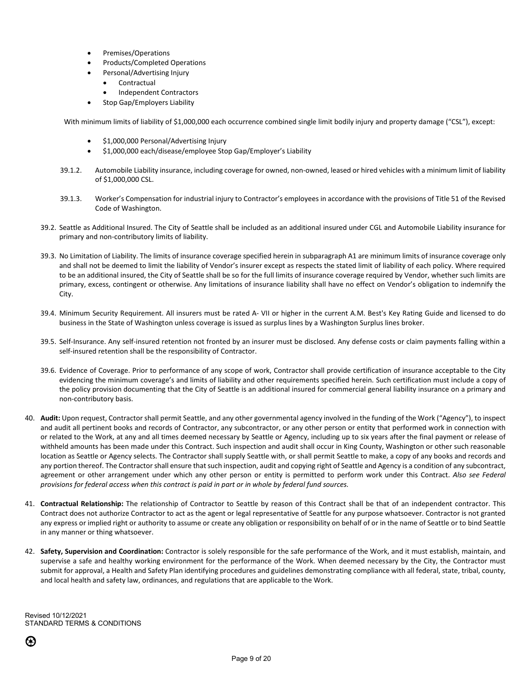- Premises/Operations
- Products/Completed Operations
	- Personal/Advertising Injury
		- **Contractual**
		- Independent Contractors
- Stop Gap/Employers Liability

With minimum limits of liability of \$1,000,000 each occurrence combined single limit bodily injury and property damage ("CSL"), except:

- \$1,000,000 Personal/Advertising Injury
- \$1,000,000 each/disease/employee Stop Gap/Employer's Liability
- 39.1.2. Automobile Liability insurance, including coverage for owned, non-owned, leased or hired vehicles with a minimum limit of liability of \$1,000,000 CSL.
- 39.1.3. Worker's Compensation for industrial injury to Contractor's employees in accordance with the provisions of Title 51 of the Revised Code of Washington.
- 39.2. Seattle as Additional Insured. The City of Seattle shall be included as an additional insured under CGL and Automobile Liability insurance for primary and non-contributory limits of liability.
- 39.3. No Limitation of Liability. The limits of insurance coverage specified herein in subparagraph A1 are minimum limits of insurance coverage only and shall not be deemed to limit the liability of Vendor's insurer except as respects the stated limit of liability of each policy. Where required to be an additional insured, the City of Seattle shall be so for the full limits of insurance coverage required by Vendor, whether such limits are primary, excess, contingent or otherwise. Any limitations of insurance liability shall have no effect on Vendor's obligation to indemnify the City.
- 39.4. Minimum Security Requirement. All insurers must be rated A- VII or higher in the current A.M. Best's Key Rating Guide and licensed to do business in the State of Washington unless coverage is issued as surplus lines by a Washington Surplus lines broker.
- 39.5. Self-Insurance. Any self-insured retention not fronted by an insurer must be disclosed. Any defense costs or claim payments falling within a self-insured retention shall be the responsibility of Contractor.
- 39.6. Evidence of Coverage. Prior to performance of any scope of work, Contractor shall provide certification of insurance acceptable to the City evidencing the minimum coverage's and limits of liability and other requirements specified herein. Such certification must include a copy of the policy provision documenting that the City of Seattle is an additional insured for commercial general liability insurance on a primary and non-contributory basis.
- 40. **Audit:** Upon request, Contractor shall permit Seattle, and any other governmental agency involved in the funding of the Work ("Agency"), to inspect and audit all pertinent books and records of Contractor, any subcontractor, or any other person or entity that performed work in connection with or related to the Work, at any and all times deemed necessary by Seattle or Agency, including up to six years after the final payment or release of withheld amounts has been made under this Contract. Such inspection and audit shall occur in King County, Washington or other such reasonable location as Seattle or Agency selects. The Contractor shall supply Seattle with, or shall permit Seattle to make, a copy of any books and records and any portion thereof. The Contractor shall ensure that such inspection, audit and copying right of Seattle and Agency is a condition of any subcontract, agreement or other arrangement under which any other person or entity is permitted to perform work under this Contract. *Also see Federal provisions for federal access when this contract is paid in part or in whole by federal fund sources.*
- 41. **Contractual Relationship:** The relationship of Contractor to Seattle by reason of this Contract shall be that of an independent contractor. This Contract does not authorize Contractor to act as the agent or legal representative of Seattle for any purpose whatsoever. Contractor is not granted any express or implied right or authority to assume or create any obligation or responsibility on behalf of or in the name of Seattle or to bind Seattle in any manner or thing whatsoever.
- 42. **Safety, Supervision and Coordination:** Contractor is solely responsible for the safe performance of the Work, and it must establish, maintain, and supervise a safe and healthy working environment for the performance of the Work. When deemed necessary by the City, the Contractor must submit for approval, a Health and Safety Plan identifying procedures and guidelines demonstrating compliance with all federal, state, tribal, county, and local health and safety law, ordinances, and regulations that are applicable to the Work.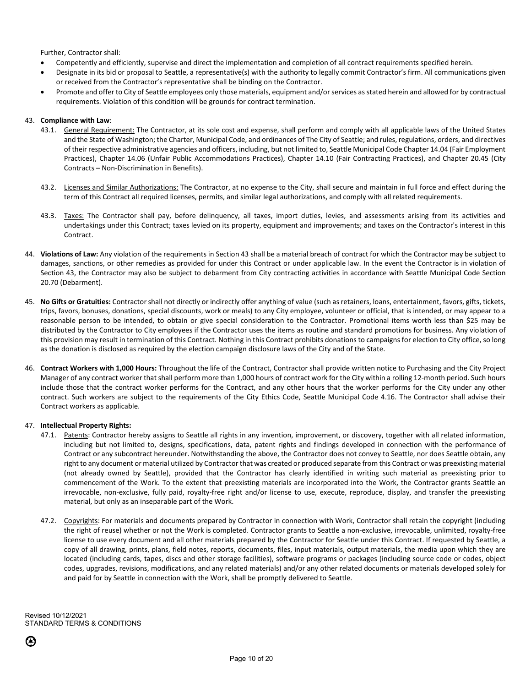Further, Contractor shall:

- Competently and efficiently, supervise and direct the implementation and completion of all contract requirements specified herein.
- Designate in its bid or proposal to Seattle, a representative(s) with the authority to legally commit Contractor's firm. All communications given or received from the Contractor's representative shall be binding on the Contractor.
- Promote and offer to City of Seattle employees only those materials, equipment and/or services as stated herein and allowed for by contractual requirements. Violation of this condition will be grounds for contract termination.

# 43. **Compliance with Law**:

- 43.1. General Requirement: The Contractor, at its sole cost and expense, shall perform and comply with all applicable laws of the United States and the State of Washington; the Charter, Municipal Code, and ordinances of The City of Seattle; and rules, regulations, orders, and directives of their respective administrative agencies and officers, including, but not limited to, Seattle Municipal Code Chapter 14.04 (Fair Employment Practices), Chapter 14.06 (Unfair Public Accommodations Practices), Chapter 14.10 (Fair Contracting Practices), and Chapter 20.45 (City Contracts – Non-Discrimination in Benefits).
- 43.2. Licenses and Similar Authorizations: The Contractor, at no expense to the City, shall secure and maintain in full force and effect during the term of this Contract all required licenses, permits, and similar legal authorizations, and comply with all related requirements.
- 43.3. Taxes: The Contractor shall pay, before delinquency, all taxes, import duties, levies, and assessments arising from its activities and undertakings under this Contract; taxes levied on its property, equipment and improvements; and taxes on the Contractor's interest in this Contract.
- 44. **Violations of Law:** Any violation of the requirements in Section 43 shall be a material breach of contract for which the Contractor may be subject to damages, sanctions, or other remedies as provided for under this Contract or under applicable law. In the event the Contractor is in violation of Section 43, the Contractor may also be subject to debarment from City contracting activities in accordance with Seattle Municipal Code Section 20.70 (Debarment).
- 45. **No Gifts or Gratuities:** Contractor shall not directly or indirectly offer anything of value (such as retainers, loans, entertainment, favors, gifts, tickets, trips, favors, bonuses, donations, special discounts, work or meals) to any City employee, volunteer or official, that is intended, or may appear to a reasonable person to be intended, to obtain or give special consideration to the Contractor. Promotional items worth less than \$25 may be distributed by the Contractor to City employees if the Contractor uses the items as routine and standard promotions for business. Any violation of this provision may result in termination of this Contract. Nothing in this Contract prohibits donations to campaigns for election to City office, so long as the donation is disclosed as required by the election campaign disclosure laws of the City and of the State.
- 46. **Contract Workers with 1,000 Hours:** Throughout the life of the Contract, Contractor shall provide written notice to Purchasing and the City Project Manager of any contract worker that shall perform more than 1,000 hours of contract work for the City within a rolling 12-month period. Such hours include those that the contract worker performs for the Contract, and any other hours that the worker performs for the City under any other contract. Such workers are subject to the requirements of the City Ethics Code, Seattle Municipal Code 4.16. The Contractor shall advise their Contract workers as applicable.

# 47. **Intellectual Property Rights:**

- 47.1. Patents: Contractor hereby assigns to Seattle all rights in any invention, improvement, or discovery, together with all related information, including but not limited to, designs, specifications, data, patent rights and findings developed in connection with the performance of Contract or any subcontract hereunder. Notwithstanding the above, the Contractor does not convey to Seattle, nor does Seattle obtain, any right to any document or material utilized by Contractor that was created or produced separate from this Contract or was preexisting material (not already owned by Seattle), provided that the Contractor has clearly identified in writing such material as preexisting prior to commencement of the Work. To the extent that preexisting materials are incorporated into the Work, the Contractor grants Seattle an irrevocable, non-exclusive, fully paid, royalty-free right and/or license to use, execute, reproduce, display, and transfer the preexisting material, but only as an inseparable part of the Work.
- 47.2. Copyrights: For materials and documents prepared by Contractor in connection with Work, Contractor shall retain the copyright (including the right of reuse) whether or not the Work is completed. Contractor grants to Seattle a non-exclusive, irrevocable, unlimited, royalty-free license to use every document and all other materials prepared by the Contractor for Seattle under this Contract. If requested by Seattle, a copy of all drawing, prints, plans, field notes, reports, documents, files, input materials, output materials, the media upon which they are located (including cards, tapes, discs and other storage facilities), software programs or packages (including source code or codes, object codes, upgrades, revisions, modifications, and any related materials) and/or any other related documents or materials developed solely for and paid for by Seattle in connection with the Work, shall be promptly delivered to Seattle.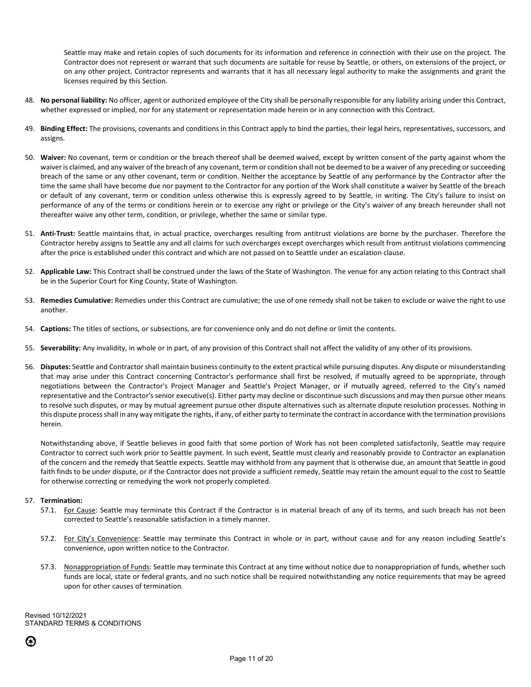Seattle may make and retain copies of such documents for its information and reference in connection with their use on the project. The Contractor does not represent or warrant that such documents are suitable for reuse by Seattle, or others, on extensions of the project, or on any other project. Contractor represents and warrants that it has all necessary legal authority to make the assignments and grant the licenses required by this Section.

- 48. **No personal liability:** No officer, agent or authorized employee of the City shall be personally responsible for any liability arising under this Contract, whether expressed or implied, nor for any statement or representation made herein or in any connection with this Contract.
- 49. **Binding Effect:** The provisions, covenants and conditions in this Contract apply to bind the parties, their legal heirs, representatives, successors, and assigns.
- 50. **Waiver:** No covenant, term or condition or the breach thereof shall be deemed waived, except by written consent of the party against whom the waiver is claimed, and any waiver of the breach of any covenant, term or condition shall not be deemed to be a waiver of any preceding or succeeding breach of the same or any other covenant, term or condition. Neither the acceptance by Seattle of any performance by the Contractor after the time the same shall have become due nor payment to the Contractor for any portion of the Work shall constitute a waiver by Seattle of the breach or default of any covenant, term or condition unless otherwise this is expressly agreed to by Seattle, in writing. The City's failure to insist on performance of any of the terms or conditions herein or to exercise any right or privilege or the City's waiver of any breach hereunder shall not thereafter waive any other term, condition, or privilege, whether the same or similar type.
- 51. **Anti-Trust:** Seattle maintains that, in actual practice, overcharges resulting from antitrust violations are borne by the purchaser. Therefore the Contractor hereby assigns to Seattle any and all claims for such overcharges except overcharges which result from antitrust violations commencing after the price is established under this contract and which are not passed on to Seattle under an escalation clause.
- 52. **Applicable Law:** This Contract shall be construed under the laws of the State of Washington. The venue for any action relating to this Contract shall be in the Superior Court for King County, State of Washington.
- 53. **Remedies Cumulative:** Remedies under this Contract are cumulative; the use of one remedy shall not be taken to exclude or waive the right to use another.
- 54. **Captions:** The titles of sections, or subsections, are for convenience only and do not define or limit the contents.
- 55. **Severability:** Any invalidity, in whole or in part, of any provision of this Contract shall not affect the validity of any other of its provisions.
- 56. **Disputes:** Seattle and Contractor shall maintain business continuity to the extent practical while pursuing disputes. Any dispute or misunderstanding that may arise under this Contract concerning Contractor's performance shall first be resolved, if mutually agreed to be appropriate, through negotiations between the Contractor's Project Manager and Seattle's Project Manager, or if mutually agreed, referred to the City's named representative and the Contractor's senior executive(s). Either party may decline or discontinue such discussions and may then pursue other means to resolve such disputes, or may by mutual agreement pursue other dispute alternatives such as alternate dispute resolution processes. Nothing in this dispute process shall in any way mitigate the rights, if any, of either party to terminate the contract in accordance with the termination provisions herein.

Notwithstanding above, if Seattle believes in good faith that some portion of Work has not been completed satisfactorily, Seattle may require Contractor to correct such work prior to Seattle payment. In such event, Seattle must clearly and reasonably provide to Contractor an explanation of the concern and the remedy that Seattle expects. Seattle may withhold from any payment that is otherwise due, an amount that Seattle in good faith finds to be under dispute, or if the Contractor does not provide a sufficient remedy, Seattle may retain the amount equal to the cost to Seattle for otherwise correcting or remedying the work not properly completed.

#### 57. **Termination:**

- 57.1. For Cause: Seattle may terminate this Contract if the Contractor is in material breach of any of its terms, and such breach has not been corrected to Seattle's reasonable satisfaction in a timely manner.
- 57.2. For City's Convenience: Seattle may terminate this Contract in whole or in part, without cause and for any reason including Seattle's convenience, upon written notice to the Contractor.
- 57.3. Nonappropriation of Funds: Seattle may terminate this Contract at any time without notice due to nonappropriation of funds, whether such funds are local, state or federal grants, and no such notice shall be required notwithstanding any notice requirements that may be agreed upon for other causes of termination.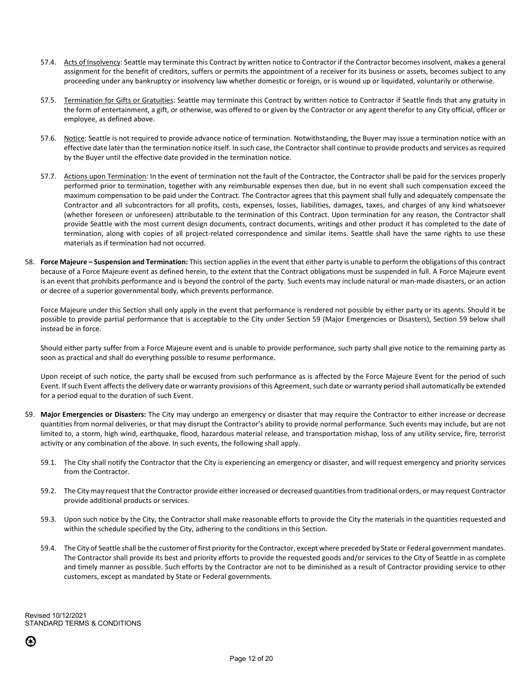- 57.4. Acts of Insolvency: Seattle may terminate this Contract by written notice to Contractor if the Contractor becomes insolvent, makes a general assignment for the benefit of creditors, suffers or permits the appointment of a receiver for its business or assets, becomes subject to any proceeding under any bankruptcy or insolvency law whether domestic or foreign, or is wound up or liquidated, voluntarily or otherwise.
- 57.5. Termination for Gifts or Gratuities: Seattle may terminate this Contract by written notice to Contractor if Seattle finds that any gratuity in the form of entertainment, a gift, or otherwise, was offered to or given by the Contractor or any agent therefor to any City official, officer or employee, as defined above.
- 57.6. Notice: Seattle is not required to provide advance notice of termination. Notwithstanding, the Buyer may issue a termination notice with an effective date later than the termination notice itself. In such case, the Contractor shall continue to provide products and services as required by the Buyer until the effective date provided in the termination notice.
- 57.7. Actions upon Termination: In the event of termination not the fault of the Contractor, the Contractor shall be paid for the services properly performed prior to termination, together with any reimbursable expenses then due, but in no event shall such compensation exceed the maximum compensation to be paid under the Contract. The Contractor agrees that this payment shall fully and adequately compensate the Contractor and all subcontractors for all profits, costs, expenses, losses, liabilities, damages, taxes, and charges of any kind whatsoever (whether foreseen or unforeseen) attributable to the termination of this Contract. Upon termination for any reason, the Contractor shall provide Seattle with the most current design documents, contract documents, writings and other product it has completed to the date of termination, along with copies of all project-related correspondence and similar items. Seattle shall have the same rights to use these materials as if termination had not occurred.
- 58. **Force Majeure – Suspension and Termination:** This section applies in the event that either party is unable to perform the obligations of this contract because of a Force Majeure event as defined herein, to the extent that the Contract obligations must be suspended in full. A Force Majeure event is an event that prohibits performance and is beyond the control of the party. Such events may include natural or man-made disasters, or an action or decree of a superior governmental body, which prevents performance.

Force Majeure under this Section shall only apply in the event that performance is rendered not possible by either party or its agents. Should it be possible to provide partial performance that is acceptable to the City under Section 59 (Major Emergencies or Disasters), Section 59 below shall instead be in force.

Should either party suffer from a Force Majeure event and is unable to provide performance, such party shall give notice to the remaining party as soon as practical and shall do everything possible to resume performance.

Upon receipt of such notice, the party shall be excused from such performance as is affected by the Force Majeure Event for the period of such Event. If such Event affects the delivery date or warranty provisions of this Agreement, such date or warranty period shall automatically be extended for a period equal to the duration of such Event.

- 59. **Major Emergencies or Disasters:** The City may undergo an emergency or disaster that may require the Contractor to either increase or decrease quantities from normal deliveries, or that may disrupt the Contractor's ability to provide normal performance. Such events may include, but are not limited to, a storm, high wind, earthquake, flood, hazardous material release, and transportation mishap, loss of any utility service, fire, terrorist activity or any combination of the above. In such events, the following shall apply.
	- 59.1. The City shall notify the Contractor that the City is experiencing an emergency or disaster, and will request emergency and priority services from the Contractor.
	- 59.2. The City may request that the Contractor provide either increased or decreased quantities from traditional orders, or may request Contractor provide additional products or services.
	- 59.3. Upon such notice by the City, the Contractor shall make reasonable efforts to provide the City the materials in the quantities requested and within the schedule specified by the City, adhering to the conditions in this Section.
	- 59.4. The City of Seattle shall be the customer of first priority for the Contractor, except where preceded by State or Federal government mandates. The Contractor shall provide its best and priority efforts to provide the requested goods and/or services to the City of Seattle in as complete and timely manner as possible. Such efforts by the Contractor are not to be diminished as a result of Contractor providing service to other customers, except as mandated by State or Federal governments.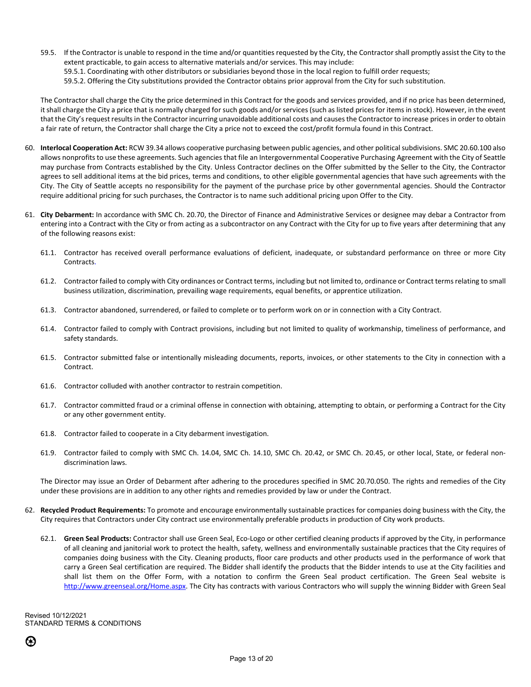59.5. If the Contractor is unable to respond in the time and/or quantities requested by the City, the Contractor shall promptly assist the City to the extent practicable, to gain access to alternative materials and/or services. This may include: 59.5.1. Coordinating with other distributors or subsidiaries beyond those in the local region to fulfill order requests; 59.5.2. Offering the City substitutions provided the Contractor obtains prior approval from the City for such substitution.

The Contractor shall charge the City the price determined in this Contract for the goods and services provided, and if no price has been determined, it shall charge the City a price that is normally charged for such goods and/or services (such as listed prices for items in stock). However, in the event that the City's request results in the Contractor incurring unavoidable additional costs and causes the Contractor to increase prices in order to obtain a fair rate of return, the Contractor shall charge the City a price not to exceed the cost/profit formula found in this Contract.

- 60. **Interlocal Cooperation Act:** RCW 39.34 allows cooperative purchasing between public agencies, and other political subdivisions. SMC 20.60.100 also allows nonprofits to use these agreements. Such agencies that file an Intergovernmental Cooperative Purchasing Agreement with the City of Seattle may purchase from Contracts established by the City. Unless Contractor declines on the Offer submitted by the Seller to the City, the Contractor agrees to sell additional items at the bid prices, terms and conditions, to other eligible governmental agencies that have such agreements with the City. The City of Seattle accepts no responsibility for the payment of the purchase price by other governmental agencies. Should the Contractor require additional pricing for such purchases, the Contractor is to name such additional pricing upon Offer to the City.
- 61. **City Debarment:** In accordance with SMC Ch. 20.70, the Director of Finance and Administrative Services or designee may debar a Contractor from entering into a Contract with the City or from acting as a subcontractor on any Contract with the City for up to five years after determining that any of the following reasons exist:
	- 61.1. Contractor has received overall performance evaluations of deficient, inadequate, or substandard performance on three or more City Contracts.
	- 61.2. Contractor failed to comply with City ordinances or Contract terms, including but not limited to, ordinance or Contract terms relating to small business utilization, discrimination, prevailing wage requirements, equal benefits, or apprentice utilization.
	- 61.3. Contractor abandoned, surrendered, or failed to complete or to perform work on or in connection with a City Contract.
	- 61.4. Contractor failed to comply with Contract provisions, including but not limited to quality of workmanship, timeliness of performance, and safety standards.
	- 61.5. Contractor submitted false or intentionally misleading documents, reports, invoices, or other statements to the City in connection with a Contract.
	- 61.6. Contractor colluded with another contractor to restrain competition.
	- 61.7. Contractor committed fraud or a criminal offense in connection with obtaining, attempting to obtain, or performing a Contract for the City or any other government entity.
	- 61.8. Contractor failed to cooperate in a City debarment investigation.
	- 61.9. Contractor failed to comply with SMC Ch. 14.04, SMC Ch. 14.10, SMC Ch. 20.42, or SMC Ch. 20.45, or other local, State, or federal nondiscrimination laws.

The Director may issue an Order of Debarment after adhering to the procedures specified in SMC 20.70.050. The rights and remedies of the City under these provisions are in addition to any other rights and remedies provided by law or under the Contract.

- 62. **Recycled Product Requirements:** To promote and encourage environmentally sustainable practices for companies doing business with the City, the City requires that Contractors under City contract use environmentally preferable products in production of City work products.
	- 62.1. **Green Seal Products:** Contractor shall use Green Seal, Eco-Logo or other certified cleaning products if approved by the City, in performance of all cleaning and janitorial work to protect the health, safety, wellness and environmentally sustainable practices that the City requires of companies doing business with the City. Cleaning products, floor care products and other products used in the performance of work that carry a Green Seal certification are required. The Bidder shall identify the products that the Bidder intends to use at the City facilities and shall list them on the Offer Form, with a notation to confirm the Green Seal product certification. The Green Seal website is [http://www.greenseal.org/Home.aspx.](http://www.greenseal.org/Home.aspx) The City has contracts with various Contractors who will supply the winning Bidder with Green Seal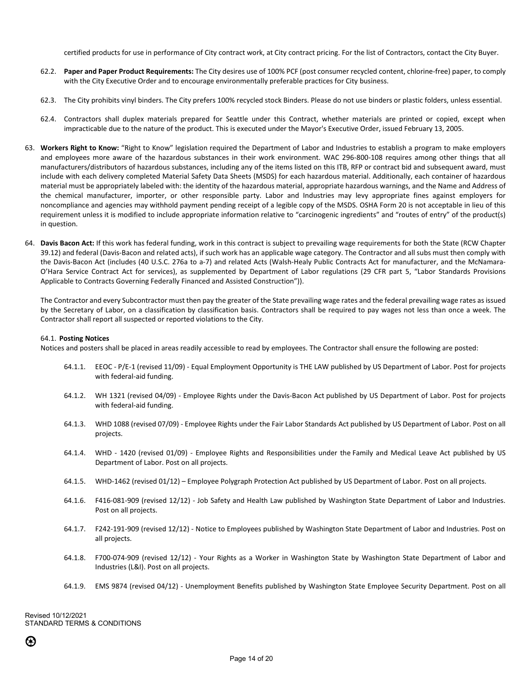certified products for use in performance of City contract work, at City contract pricing. For the list of Contractors, contact the City Buyer.

- 62.2. **Paper and Paper Product Requirements:** The City desires use of 100% PCF (post consumer recycled content, chlorine-free) paper, to comply with the City Executive Order and to encourage environmentally preferable practices for City business.
- 62.3. The City prohibits vinyl binders. The City prefers 100% recycled stock Binders. Please do not use binders or plastic folders, unless essential.
- 62.4. Contractors shall duplex materials prepared for Seattle under this Contract, whether materials are printed or copied, except when impracticable due to the nature of the product. This is executed under the Mayor's Executive Order, issued February 13, 2005.
- 63. **Workers Right to Know:** "Right to Know" legislation required the Department of Labor and Industries to establish a program to make employers and employees more aware of the hazardous substances in their work environment. WAC 296-800-108 requires among other things that all manufacturers/distributors of hazardous substances, including any of the items listed on this ITB, RFP or contract bid and subsequent award, must include with each delivery completed Material Safety Data Sheets (MSDS) for each hazardous material. Additionally, each container of hazardous material must be appropriately labeled with: the identity of the hazardous material, appropriate hazardous warnings, and the Name and Address of the chemical manufacturer, importer, or other responsible party. Labor and Industries may levy appropriate fines against employers for noncompliance and agencies may withhold payment pending receipt of a legible copy of the MSDS. OSHA Form 20 is not acceptable in lieu of this requirement unless it is modified to include appropriate information relative to "carcinogenic ingredients" and "routes of entry" of the product(s) in question.
- 64. **Davis Bacon Act:** If this work has federal funding, work in this contract is subject to prevailing wage requirements for both the State (RCW Chapter 39.12) and federal (Davis-Bacon and related acts), if such work has an applicable wage category. The Contractor and all subs must then comply with the Davis-Bacon Act (includes (40 U.S.C. 276a to a-7) and related Acts (Walsh-Healy Public Contracts Act for manufacturer, and the McNamara-O'Hara Service Contract Act for services), as supplemented by Department of Labor regulations (29 CFR part 5, "Labor Standards Provisions Applicable to Contracts Governing Federally Financed and Assisted Construction")).

The Contractor and every Subcontractor must then pay the greater of the State prevailing wage rates and the federal prevailing wage rates as issued by the Secretary of Labor, on a classification by classification basis. Contractors shall be required to pay wages not less than once a week. The Contractor shall report all suspected or reported violations to the City.

#### 64.1. **Posting Notices**

Notices and posters shall be placed in areas readily accessible to read by employees. The Contractor shall ensure the following are posted:

- 64.1.1. EEOC P/E-1 (revised 11/09) Equal Employment Opportunity is THE LAW published by US Department of Labor. Post for projects with federal-aid funding.
- 64.1.2. WH 1321 (revised 04/09) Employee Rights under the Davis-Bacon Act published by US Department of Labor. Post for projects with federal-aid funding.
- 64.1.3. WHD 1088 (revised 07/09) Employee Rights under the Fair Labor Standards Act published by US Department of Labor. Post on all projects.
- 64.1.4. WHD 1420 (revised 01/09) Employee Rights and Responsibilities under the Family and Medical Leave Act published by US Department of Labor. Post on all projects.
- 64.1.5. WHD-1462 (revised 01/12) Employee Polygraph Protection Act published by US Department of Labor. Post on all projects.
- 64.1.6. F416-081-909 (revised 12/12) Job Safety and Health Law published by Washington State Department of Labor and Industries. Post on all projects.
- 64.1.7. F242-191-909 (revised 12/12) Notice to Employees published by Washington State Department of Labor and Industries. Post on all projects.
- 64.1.8. F700-074-909 (revised 12/12) Your Rights as a Worker in Washington State by Washington State Department of Labor and Industries (L&I). Post on all projects.
- 64.1.9. EMS 9874 (revised 04/12) Unemployment Benefits published by Washington State Employee Security Department. Post on all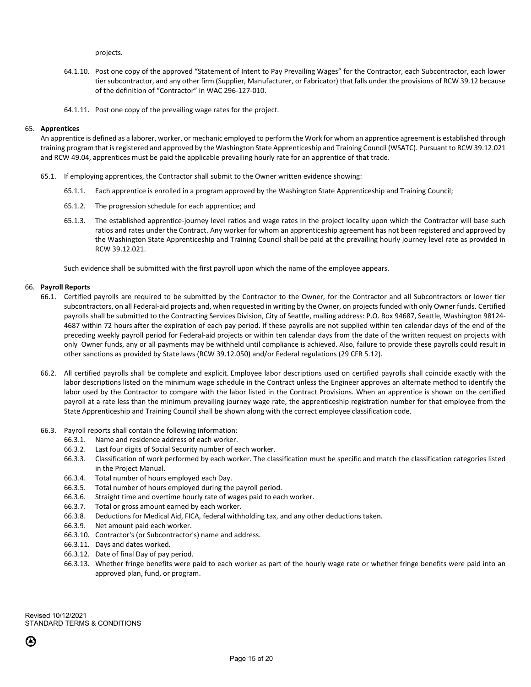projects.

- 64.1.10. Post one copy of the approved "Statement of Intent to Pay Prevailing Wages" for the Contractor, each Subcontractor, each lower tier subcontractor, and any other firm (Supplier, Manufacturer, or Fabricator) that falls under the provisions of RCW 39.12 because of the definition of "Contractor" in WAC 296-127-010.
- 64.1.11. Post one copy of the prevailing wage rates for the project.

#### 65. **Apprentices**

An apprentice is defined as a laborer, worker, or mechanic employed to perform the Work for whom an apprentice agreement is established through training program that is registered and approved by the Washington State Apprenticeship and Training Council (WSATC). Pursuant to RCW 39.12.021 and RCW 49.04, apprentices must be paid the applicable prevailing hourly rate for an apprentice of that trade.

- 65.1. If employing apprentices, the Contractor shall submit to the Owner written evidence showing:
	- 65.1.1. Each apprentice is enrolled in a program approved by the Washington State Apprenticeship and Training Council;
	- 65.1.2. The progression schedule for each apprentice; and
	- 65.1.3. The established apprentice-journey level ratios and wage rates in the project locality upon which the Contractor will base such ratios and rates under the Contract. Any worker for whom an apprenticeship agreement has not been registered and approved by the Washington State Apprenticeship and Training Council shall be paid at the prevailing hourly journey level rate as provided in RCW 39.12.021.

Such evidence shall be submitted with the first payroll upon which the name of the employee appears.

## 66. **Payroll Reports**

- 66.1. Certified payrolls are required to be submitted by the Contractor to the Owner, for the Contractor and all Subcontractors or lower tier subcontractors, on all Federal-aid projects and, when requested in writing by the Owner, on projects funded with only Owner funds. Certified payrolls shall be submitted to the Contracting Services Division, City of Seattle, mailing address: P.O. Box 94687, Seattle, Washington 98124- 4687 within 72 hours after the expiration of each pay period. If these payrolls are not supplied within ten calendar days of the end of the preceding weekly payroll period for Federal-aid projects or within ten calendar days from the date of the written request on projects with only Owner funds, any or all payments may be withheld until compliance is achieved. Also, failure to provide these payrolls could result in other sanctions as provided by State laws (RCW 39.12.050) and/or Federal regulations (29 CFR 5.12).
- 66.2. All certified payrolls shall be complete and explicit. Employee labor descriptions used on certified payrolls shall coincide exactly with the labor descriptions listed on the minimum wage schedule in the Contract unless the Engineer approves an alternate method to identify the labor used by the Contractor to compare with the labor listed in the Contract Provisions. When an apprentice is shown on the certified payroll at a rate less than the minimum prevailing journey wage rate, the apprenticeship registration number for that employee from the State Apprenticeship and Training Council shall be shown along with the correct employee classification code.
- 66.3. Payroll reports shall contain the following information:
	- 66.3.1. Name and residence address of each worker.
	- 66.3.2. Last four digits of Social Security number of each worker.
	- 66.3.3. Classification of work performed by each worker. The classification must be specific and match the classification categories listed in the Project Manual.
	- 66.3.4. Total number of hours employed each Day.
	- 66.3.5. Total number of hours employed during the payroll period.
	- 66.3.6. Straight time and overtime hourly rate of wages paid to each worker.
	- 66.3.7. Total or gross amount earned by each worker.
	- 66.3.8. Deductions for Medical Aid, FICA, federal withholding tax, and any other deductions taken.
	- 66.3.9. Net amount paid each worker.
	- 66.3.10. Contractor's (or Subcontractor's) name and address.
	- 66.3.11. Days and dates worked.
	- 66.3.12. Date of final Day of pay period.
	- 66.3.13. Whether fringe benefits were paid to each worker as part of the hourly wage rate or whether fringe benefits were paid into an approved plan, fund, or program.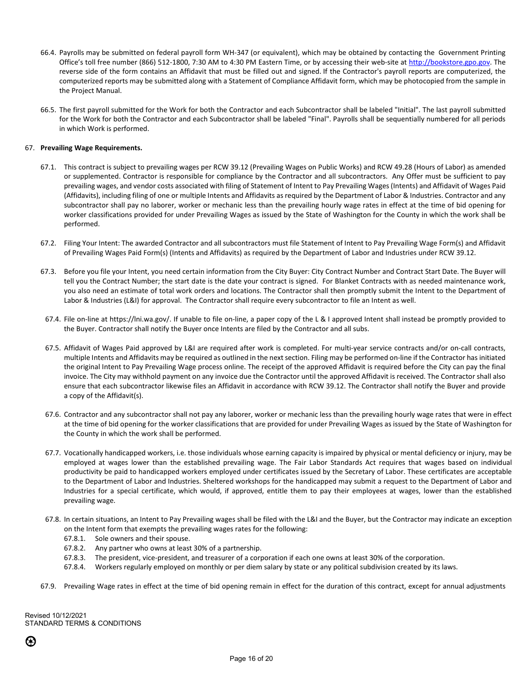- 66.4. Payrolls may be submitted on federal payroll form WH-347 (or equivalent), which may be obtained by contacting the Government Printing Office's toll free number (866) 512-1800, 7:30 AM to 4:30 PM Eastern Time, or by accessing their web-site a[t http://bookstore.gpo.gov.](http://bookstore.gpo.gov/) The reverse side of the form contains an Affidavit that must be filled out and signed. If the Contractor's payroll reports are computerized, the computerized reports may be submitted along with a Statement of Compliance Affidavit form, which may be photocopied from the sample in the Project Manual.
- 66.5. The first payroll submitted for the Work for both the Contractor and each Subcontractor shall be labeled "Initial". The last payroll submitted for the Work for both the Contractor and each Subcontractor shall be labeled "Final". Payrolls shall be sequentially numbered for all periods in which Work is performed.

## 67. **Prevailing Wage Requirements.**

- 67.1. This contract is subject to prevailing wages per RCW 39.12 (Prevailing Wages on Public Works) and RCW 49.28 (Hours of Labor) as amended or supplemented. Contractor is responsible for compliance by the Contractor and all subcontractors. Any Offer must be sufficient to pay prevailing wages, and vendor costs associated with filing of Statement of Intent to Pay Prevailing Wages(Intents) and Affidavit of Wages Paid (Affidavits), including filing of one or multiple Intents and Affidavits as required by the Department of Labor & Industries. Contractor and any subcontractor shall pay no laborer, worker or mechanic less than the prevailing hourly wage rates in effect at the time of bid opening for worker classifications provided for under Prevailing Wages as issued by the State of Washington for the County in which the work shall be performed.
- 67.2. Filing Your Intent: The awarded Contractor and all subcontractors must file Statement of Intent to Pay Prevailing Wage Form(s) and Affidavit of Prevailing Wages Paid Form(s) (Intents and Affidavits) as required by the Department of Labor and Industries under RCW 39.12.
- 67.3. Before you file your Intent, you need certain information from the City Buyer: City Contract Number and Contract Start Date. The Buyer will tell you the Contract Number; the start date is the date your contract is signed. For Blanket Contracts with as needed maintenance work, you also need an estimate of total work orders and locations. The Contractor shall then promptly submit the Intent to the Department of Labor & Industries (L&I) for approval. The Contractor shall require every subcontractor to file an Intent as well.
- 67.4. File on-line at https://lni.wa.gov/. If unable to file on-line, a paper copy of the L & I approved Intent shall instead be promptly provided to the Buyer. Contractor shall notify the Buyer once Intents are filed by the Contractor and all subs.
- 67.5. Affidavit of Wages Paid approved by L&I are required after work is completed. For multi-year service contracts and/or on-call contracts, multiple Intents and Affidavits may be required as outlined in the next section. Filing may be performed on-line if the Contractor has initiated the original Intent to Pay Prevailing Wage process online. The receipt of the approved Affidavit is required before the City can pay the final invoice. The City may withhold payment on any invoice due the Contractor until the approved Affidavit is received. The Contractor shall also ensure that each subcontractor likewise files an Affidavit in accordance with RCW 39.12. The Contractor shall notify the Buyer and provide a copy of the Affidavit(s).
- 67.6. Contractor and any subcontractor shall not pay any laborer, worker or mechanic less than the prevailing hourly wage rates that were in effect at the time of bid opening for the worker classifications that are provided for under Prevailing Wages as issued by the State of Washington for the County in which the work shall be performed.
- 67.7. Vocationally handicapped workers, i.e. those individuals whose earning capacity is impaired by physical or mental deficiency or injury, may be employed at wages lower than the established prevailing wage. The Fair Labor Standards Act requires that wages based on individual productivity be paid to handicapped workers employed under certificates issued by the Secretary of Labor. These certificates are acceptable to the Department of Labor and Industries. Sheltered workshops for the handicapped may submit a request to the Department of Labor and Industries for a special certificate, which would, if approved, entitle them to pay their employees at wages, lower than the established prevailing wage.
- 67.8. In certain situations, an Intent to Pay Prevailing wages shall be filed with the L&I and the Buyer, but the Contractor may indicate an exception on the Intent form that exempts the prevailing wages rates for the following:
	- 67.8.1. Sole owners and their spouse.
	- 67.8.2. Any partner who owns at least 30% of a partnership.
	- 67.8.3. The president, vice-president, and treasurer of a corporation if each one owns at least 30% of the corporation.
	- 67.8.4. Workers regularly employed on monthly or per diem salary by state or any political subdivision created by its laws.
- 67.9. Prevailing Wage rates in effect at the time of bid opening remain in effect for the duration of this contract, except for annual adjustments

Revised 10/12/2021 STANDARD TERMS & CONDITIONS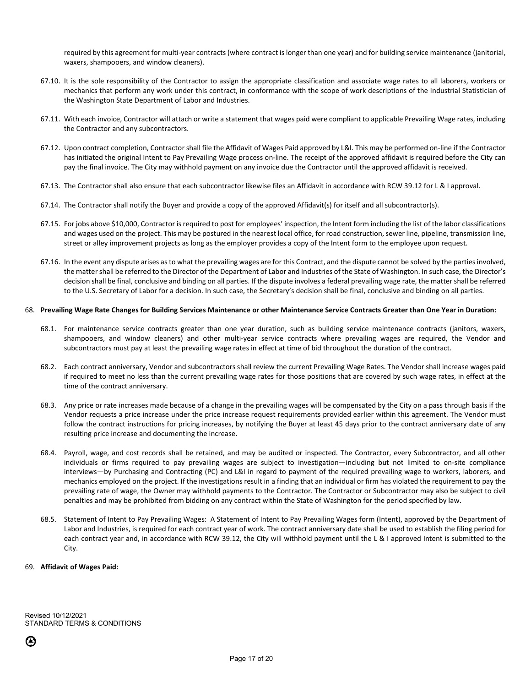required by this agreement for multi-year contracts (where contract is longer than one year) and for building service maintenance (janitorial, waxers, shampooers, and window cleaners).

- 67.10. It is the sole responsibility of the Contractor to assign the appropriate classification and associate wage rates to all laborers, workers or mechanics that perform any work under this contract, in conformance with the scope of work descriptions of the Industrial Statistician of the Washington State Department of Labor and Industries.
- 67.11. With each invoice, Contractor will attach or write a statement that wages paid were compliant to applicable Prevailing Wage rates, including the Contractor and any subcontractors.
- 67.12. Upon contract completion, Contractor shall file the Affidavit of Wages Paid approved by L&I. This may be performed on-line if the Contractor has initiated the original Intent to Pay Prevailing Wage process on-line. The receipt of the approved affidavit is required before the City can pay the final invoice. The City may withhold payment on any invoice due the Contractor until the approved affidavit is received.
- 67.13. The Contractor shall also ensure that each subcontractor likewise files an Affidavit in accordance with RCW 39.12 for L & I approval.
- 67.14. The Contractor shall notify the Buyer and provide a copy of the approved Affidavit(s) for itself and all subcontractor(s).
- 67.15. For jobs above \$10,000, Contractor is required to post for employees' inspection, the Intent form including the list of the labor classifications and wages used on the project. This may be postured in the nearest local office, for road construction, sewer line, pipeline, transmission line, street or alley improvement projects as long as the employer provides a copy of the Intent form to the employee upon request.
- 67.16. In the event any dispute arises as to what the prevailing wages are for this Contract, and the dispute cannot be solved by the parties involved, the matter shall be referred to the Director of the Department of Labor and Industries of the State of Washington. In such case, the Director's decision shall be final, conclusive and binding on all parties. If the dispute involves a federal prevailing wage rate, the matter shall be referred to the U.S. Secretary of Labor for a decision. In such case, the Secretary's decision shall be final, conclusive and binding on all parties.

#### 68. **Prevailing Wage Rate Changes for Building Services Maintenance or other Maintenance Service Contracts Greater than One Year in Duration:**

- 68.1. For maintenance service contracts greater than one year duration, such as building service maintenance contracts (janitors, waxers, shampooers, and window cleaners) and other multi-year service contracts where prevailing wages are required, the Vendor and subcontractors must pay at least the prevailing wage rates in effect at time of bid throughout the duration of the contract.
- 68.2. Each contract anniversary, Vendor and subcontractors shall review the current Prevailing Wage Rates. The Vendor shall increase wages paid if required to meet no less than the current prevailing wage rates for those positions that are covered by such wage rates, in effect at the time of the contract anniversary.
- 68.3. Any price or rate increases made because of a change in the prevailing wages will be compensated by the City on a pass through basis if the Vendor requests a price increase under the price increase request requirements provided earlier within this agreement. The Vendor must follow the contract instructions for pricing increases, by notifying the Buyer at least 45 days prior to the contract anniversary date of any resulting price increase and documenting the increase.
- 68.4. Payroll, wage, and cost records shall be retained, and may be audited or inspected. The Contractor, every Subcontractor, and all other individuals or firms required to pay prevailing wages are subject to investigation—including but not limited to on-site compliance interviews—by Purchasing and Contracting (PC) and L&I in regard to payment of the required prevailing wage to workers, laborers, and mechanics employed on the project. If the investigations result in a finding that an individual or firm has violated the requirement to pay the prevailing rate of wage, the Owner may withhold payments to the Contractor. The Contractor or Subcontractor may also be subject to civil penalties and may be prohibited from bidding on any contract within the State of Washington for the period specified by law.
- 68.5. Statement of Intent to Pay Prevailing Wages: A Statement of Intent to Pay Prevailing Wages form (Intent), approved by the Department of Labor and Industries, is required for each contract year of work. The contract anniversary date shall be used to establish the filing period for each contract year and, in accordance with RCW 39.12, the City will withhold payment until the L & I approved Intent is submitted to the City.

#### 69. **Affidavit of Wages Paid:**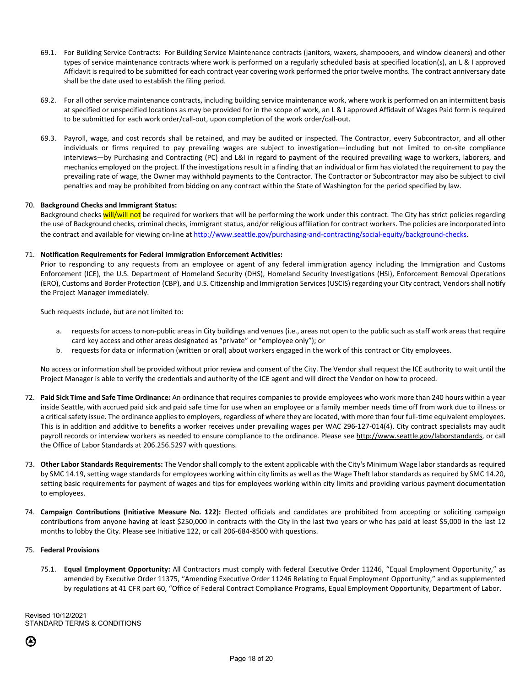- 69.1. For Building Service Contracts: For Building Service Maintenance contracts (janitors, waxers, shampooers, and window cleaners) and other types of service maintenance contracts where work is performed on a regularly scheduled basis at specified location(s), an L & I approved Affidavit is required to be submitted for each contract year covering work performed the prior twelve months. The contract anniversary date shall be the date used to establish the filing period.
- 69.2. For all other service maintenance contracts, including building service maintenance work, where work is performed on an intermittent basis at specified or unspecified locations as may be provided for in the scope of work, an L & I approved Affidavit of Wages Paid form is required to be submitted for each work order/call-out, upon completion of the work order/call-out.
- 69.3. Payroll, wage, and cost records shall be retained, and may be audited or inspected. The Contractor, every Subcontractor, and all other individuals or firms required to pay prevailing wages are subject to investigation—including but not limited to on-site compliance interviews—by Purchasing and Contracting (PC) and L&I in regard to payment of the required prevailing wage to workers, laborers, and mechanics employed on the project. If the investigations result in a finding that an individual or firm has violated the requirement to pay the prevailing rate of wage, the Owner may withhold payments to the Contractor. The Contractor or Subcontractor may also be subject to civil penalties and may be prohibited from bidding on any contract within the State of Washington for the period specified by law.

## 70. **Background Checks and Immigrant Status:**

Background checks will/will not be required for workers that will be performing the work under this contract. The City has strict policies regarding the use of Background checks, criminal checks, immigrant status, and/or religious affiliation for contract workers. The policies are incorporated into the contract and available for viewing on-line a[t http://www.seattle.gov/purchasing-and-contracting/social-equity/background-checks.](http://www.seattle.gov/purchasing-and-contracting/social-equity/background-checks)

## 71. **Notification Requirements for Federal Immigration Enforcement Activities:**

Prior to responding to any requests from an employee or agent of any federal immigration agency including the Immigration and Customs Enforcement (ICE), the U.S. Department of Homeland Security (DHS), Homeland Security Investigations (HSI), Enforcement Removal Operations (ERO), Customs and Border Protection (CBP), and U.S. Citizenship and Immigration Services (USCIS) regarding your City contract, Vendors shall notify the Project Manager immediately.

Such requests include, but are not limited to:

- a. requests for access to non-public areas in City buildings and venues (i.e., areas not open to the public such as staff work areas that require card key access and other areas designated as "private" or "employee only"); or
- b. requests for data or information (written or oral) about workers engaged in the work of this contract or City employees.

No access or information shall be provided without prior review and consent of the City. The Vendor shall request the ICE authority to wait until the Project Manager is able to verify the credentials and authority of the ICE agent and will direct the Vendor on how to proceed.

- 72. **Paid Sick Time and Safe Time Ordinance:** An ordinance that requires companies to provide employees who work more than 240 hours within a year inside Seattle, with accrued paid sick and paid safe time for use when an employee or a family member needs time off from work due to illness or a critical safety issue. The ordinance applies to employers, regardless of where they are located, with more than four full-time equivalent employees. This is in addition and additive to benefits a worker receives under prevailing wages per WAC 296-127-014(4). City contract specialists may audit payroll records or interview workers as needed to ensure compliance to the ordinance. Please see [http://www.seattle.gov/laborstandards,](http://www.seattle.gov/laborstandards) or call the Office of Labor Standards at 206.256.5297 with questions.
- 73. **Other Labor Standards Requirements:** The Vendor shall comply to the extent applicable with the City's Minimum Wage labor standards as required by SMC 14.19, setting wage standards for employees working within city limits as well as the Wage Theft labor standards as required by SMC 14.20, setting basic requirements for payment of wages and tips for employees working within city limits and providing various payment documentation to employees.
- 74. **Campaign Contributions (Initiative Measure No. 122):** Elected officials and candidates are prohibited from accepting or soliciting campaign contributions from anyone having at least \$250,000 in contracts with the City in the last two years or who has paid at least \$5,000 in the last 12 months to lobby the City. Please see Initiative 122, or call 206-684-8500 with questions.

#### 75. **Federal Provisions**

75.1. **Equal Employment Opportunity:** All Contractors must comply with federal Executive Order 11246, "Equal Employment Opportunity," as amended by Executive Order 11375, "Amending Executive Order 11246 Relating to Equal Employment Opportunity," and as supplemented by regulations at 41 CFR part 60, "Office of Federal Contract Compliance Programs, Equal Employment Opportunity, Department of Labor.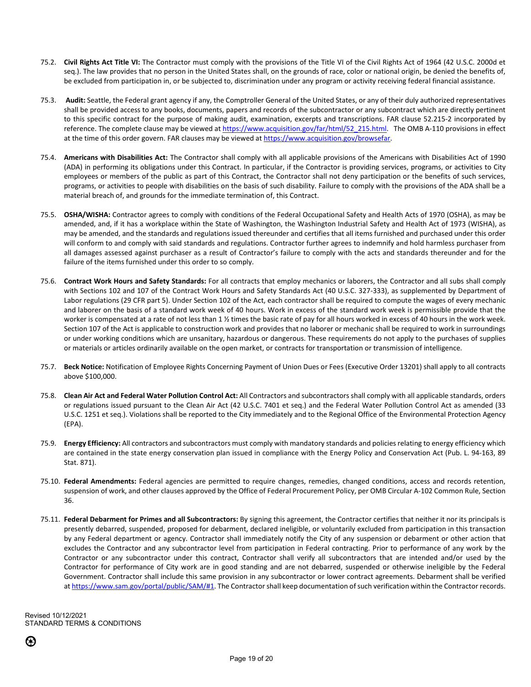- 75.2. **Civil Rights Act Title VI:** The Contractor must comply with the provisions of the Title VI of the Civil Rights Act of 1964 (42 U.S.C. 2000d et seq.). The law provides that no person in the United States shall, on the grounds of race, color or national origin, be denied the benefits of, be excluded from participation in, or be subjected to, discrimination under any program or activity receiving federal financial assistance.
- 75.3. **Audit:** Seattle, the Federal grant agency if any, the Comptroller General of the United States, or any of their duly authorized representatives shall be provided access to any books, documents, papers and records of the subcontractor or any subcontract which are directly pertinent to this specific contract for the purpose of making audit, examination, excerpts and transcriptions. FAR clause 52.215-2 incorporated by reference. The complete clause may be viewed a[t https://www.acquisition.gov/far/html/52\\_215.html.](https://www.acquisition.gov/far/html/52_215.html) The OMB A-110 provisions in effect at the time of this order govern. FAR clauses may be viewed a[t https://www.acquisition.gov/browsefar.](https://www.acquisition.gov/browsefar)
- 75.4. **Americans with Disabilities Act:** The Contractor shall comply with all applicable provisions of the Americans with Disabilities Act of 1990 (ADA) in performing its obligations under this Contract. In particular, if the Contractor is providing services, programs, or activities to City employees or members of the public as part of this Contract, the Contractor shall not deny participation or the benefits of such services, programs, or activities to people with disabilities on the basis of such disability. Failure to comply with the provisions of the ADA shall be a material breach of, and grounds for the immediate termination of, this Contract.
- 75.5. **OSHA/WISHA:** Contractor agrees to comply with conditions of the Federal Occupational Safety and Health Acts of 1970 (OSHA), as may be amended, and, if it has a workplace within the State of Washington, the Washington Industrial Safety and Health Act of 1973 (WISHA), as may be amended, and the standards and regulations issued thereunder and certifies that all items furnished and purchased under this order will conform to and comply with said standards and regulations. Contractor further agrees to indemnify and hold harmless purchaser from all damages assessed against purchaser as a result of Contractor's failure to comply with the acts and standards thereunder and for the failure of the items furnished under this order to so comply.
- 75.6. **Contract Work Hours and Safety Standards:** For all contracts that employ mechanics or laborers, the Contractor and all subs shall comply with Sections 102 and 107 of the Contract Work Hours and Safety Standards Act (40 U.S.C. 327-333), as supplemented by Department of Labor regulations (29 CFR part 5). Under Section 102 of the Act, each contractor shall be required to compute the wages of every mechanic and laborer on the basis of a standard work week of 40 hours. Work in excess of the standard work week is permissible provide that the worker is compensated at a rate of not less than 1 % times the basic rate of pay for all hours worked in excess of 40 hours in the work week. Section 107 of the Act is applicable to construction work and provides that no laborer or mechanic shall be required to work in surroundings or under working conditions which are unsanitary, hazardous or dangerous. These requirements do not apply to the purchases of supplies or materials or articles ordinarily available on the open market, or contracts for transportation or transmission of intelligence.
- 75.7. **Beck Notice:** Notification of Employee Rights Concerning Payment of Union Dues or Fees (Executive Order 13201) shall apply to all contracts above \$100,000.
- 75.8. **Clean Air Act and Federal Water Pollution Control Act:** All Contractors and subcontractors shall comply with all applicable standards, orders or regulations issued pursuant to the Clean Air Act (42 U.S.C. 7401 et seq.) and the Federal Water Pollution Control Act as amended (33 U.S.C. 1251 et seq.). Violations shall be reported to the City immediately and to the Regional Office of the Environmental Protection Agency (EPA).
- 75.9. **Energy Efficiency:** All contractors and subcontractors must comply with mandatory standards and policies relating to energy efficiency which are contained in the state energy conservation plan issued in compliance with the Energy Policy and Conservation Act (Pub. L. 94-163, 89 Stat. 871).
- 75.10. **Federal Amendments:** Federal agencies are permitted to require changes, remedies, changed conditions, access and records retention, suspension of work, and other clauses approved by the Office of Federal Procurement Policy, per OMB Circular A-102 Common Rule, Section 36.
- 75.11. **Federal Debarment for Primes and all Subcontractors:** By signing this agreement, the Contractor certifies that neither it nor its principals is presently debarred, suspended, proposed for debarment, declared ineligible, or voluntarily excluded from participation in this transaction by any Federal department or agency. Contractor shall immediately notify the City of any suspension or debarment or other action that excludes the Contractor and any subcontractor level from participation in Federal contracting. Prior to performance of any work by the Contractor or any subcontractor under this contract, Contractor shall verify all subcontractors that are intended and/or used by the Contractor for performance of City work are in good standing and are not debarred, suspended or otherwise ineligible by the Federal Government. Contractor shall include this same provision in any subcontractor or lower contract agreements. Debarment shall be verified a[t https://www.sam.gov/portal/public/SAM/#1.](https://www.sam.gov/portal/public/SAM/#1) The Contractor shall keep documentation of such verification within the Contractor records.